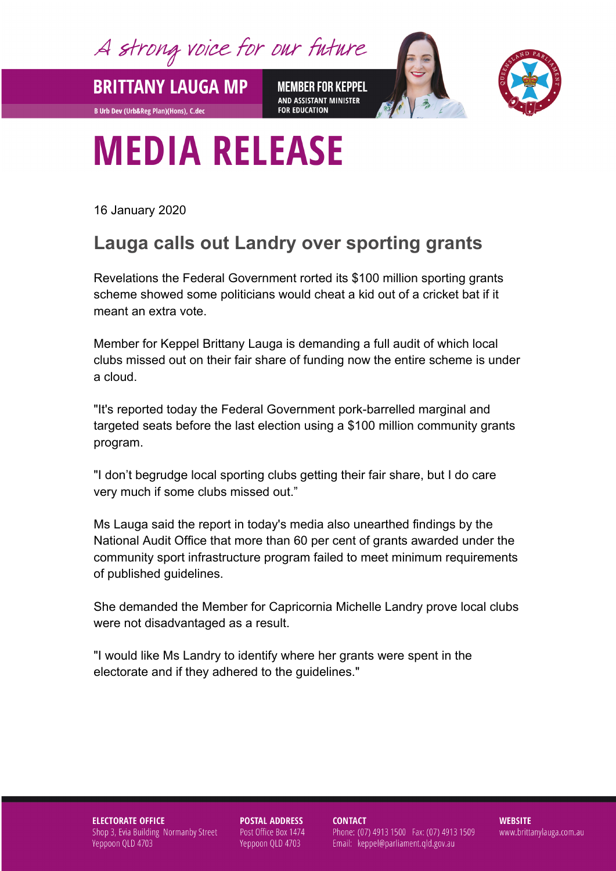A strong voice for our future

**BRITTANY LAUGA MP** 

**B Urb Dev (Urb&Reg Plan)(Hons), C.dec** 

**MEMBER FOR KEPPEL** AND ASSISTANT MINISTER **FOR EDUCATION** 



## **MEDIA RELEASE**

16 January 2020

## **Lauga calls out Landry over sporting grants**

Revelations the Federal Government rorted its \$100 million sporting grants scheme showed some politicians would cheat a kid out of a cricket bat if it meant an extra vote.

Member for Keppel Brittany Lauga is demanding a full audit of which local clubs missed out on their fair share of funding now the entire scheme is under a cloud.

"It's reported today the Federal Government pork-barrelled marginal and targeted seats before the last election using a \$100 million community grants program.

"I don't begrudge local sporting clubs getting their fair share, but I do care very much if some clubs missed out."

Ms Lauga said the report in today's media also unearthed findings by the National Audit Office that more than 60 per cent of grants awarded under the community sport infrastructure program failed to meet minimum requirements of published guidelines.

She demanded the Member for Capricornia Michelle Landry prove local clubs were not disadvantaged as a result.

"I would like Ms Landry to identify where her grants were spent in the electorate and if they adhered to the guidelines."

**ELECTORATE OFFICE** Shop 3, Evia Building Normanby Street Yeppoon QLD 4703

**POSTAL ADDRESS** Post Office Box 1474 Yeppoon QLD 4703

**CONTACT** 

Phone: (07) 4913 1500 Fax: (07) 4913 1509 Email: keppel@parliament.qld.gov.au

**WEBSITE** www.brittanylauga.com.au